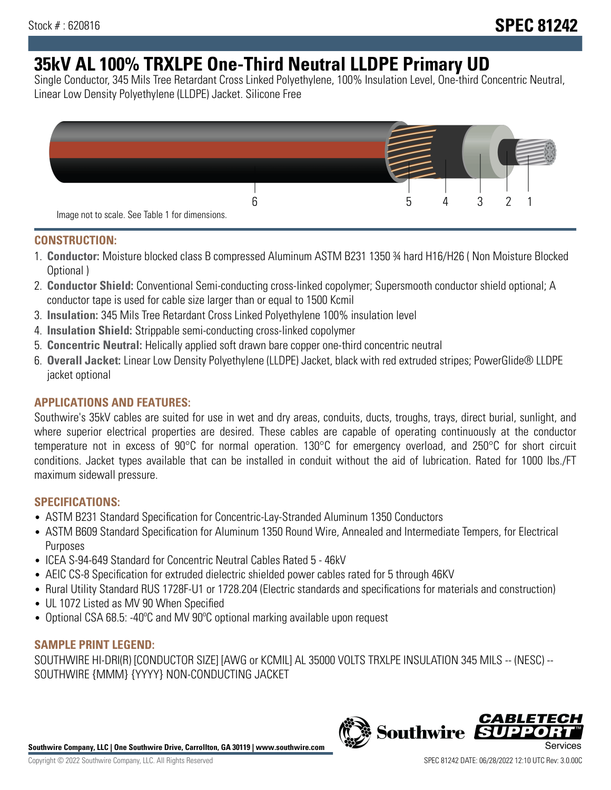# **35kV AL 100% TRXLPE One-Third Neutral LLDPE Primary UD**

Single Conductor, 345 Mils Tree Retardant Cross Linked Polyethylene, 100% Insulation Level, One-third Concentric Neutral, Linear Low Density Polyethylene (LLDPE) Jacket. Silicone Free



### **CONSTRUCTION:**

- 1. **Conductor:** Moisture blocked class B compressed Aluminum ASTM B231 1350 ¾ hard H16/H26 ( Non Moisture Blocked Optional )
- 2. **Conductor Shield:** Conventional Semi-conducting cross-linked copolymer; Supersmooth conductor shield optional; A conductor tape is used for cable size larger than or equal to 1500 Kcmil
- 3. **Insulation:** 345 Mils Tree Retardant Cross Linked Polyethylene 100% insulation level
- 4. **Insulation Shield:** Strippable semi-conducting cross-linked copolymer
- 5. **Concentric Neutral:** Helically applied soft drawn bare copper one-third concentric neutral
- 6. **Overall Jacket:** Linear Low Density Polyethylene (LLDPE) Jacket, black with red extruded stripes; PowerGlide® LLDPE jacket optional

## **APPLICATIONS AND FEATURES:**

Southwire's 35kV cables are suited for use in wet and dry areas, conduits, ducts, troughs, trays, direct burial, sunlight, and where superior electrical properties are desired. These cables are capable of operating continuously at the conductor temperature not in excess of 90°C for normal operation. 130°C for emergency overload, and 250°C for short circuit conditions. Jacket types available that can be installed in conduit without the aid of lubrication. Rated for 1000 lbs./FT maximum sidewall pressure.

## **SPECIFICATIONS:**

- ASTM B231 Standard Specification for Concentric-Lay-Stranded Aluminum 1350 Conductors
- ASTM B609 Standard Specification for Aluminum 1350 Round Wire, Annealed and Intermediate Tempers, for Electrical Purposes
- ICEA S-94-649 Standard for Concentric Neutral Cables Rated 5 46kV
- AEIC CS-8 Specification for extruded dielectric shielded power cables rated for 5 through 46KV
- Rural Utility Standard RUS 1728F-U1 or 1728.204 (Electric standards and specifications for materials and construction)
- UL 1072 Listed as MV 90 When Specified
- Optional CSA 68.5: -40ºC and MV 90ºC optional marking available upon request

#### **SAMPLE PRINT LEGEND:**

SOUTHWIRE HI-DRI(R) [CONDUCTOR SIZE] [AWG or KCMIL] AL 35000 VOLTS TRXLPE INSULATION 345 MILS -- (NESC) -- SOUTHWIRE {MMM} {YYYY} NON-CONDUCTING JACKET

**Southwire Company, LLC | One Southwire Drive, Carrollton, GA 30119 | www.southwire.com**

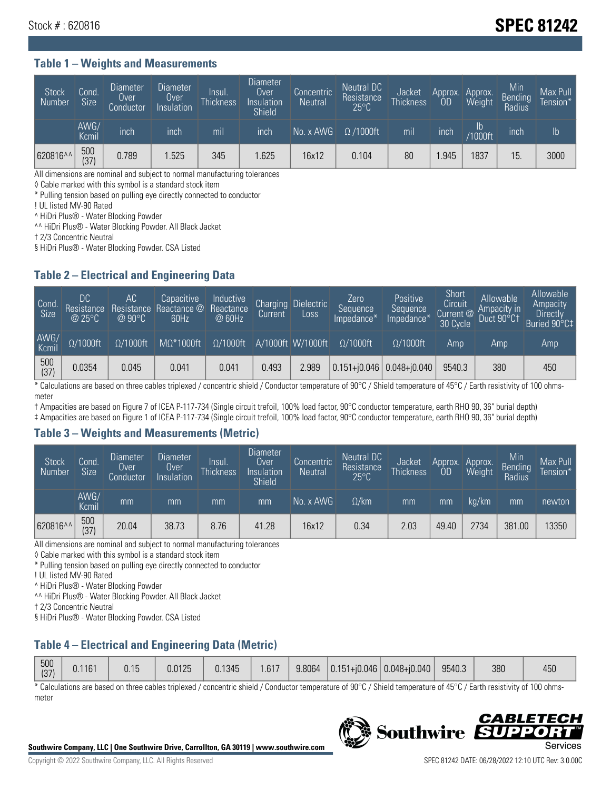## Stock # : 620816 **SPEC 81242**

#### **Table 1 – Weights and Measurements**

| <b>Stock</b><br>Number | Cond.<br>Size | <b>Diameter</b><br><b>Over</b><br>Conductor | <b>Diameter</b><br>Over<br>Insulation | Insul.<br><b>Thickness</b> | <b>Diameter</b><br><b>Over</b><br>Insulation<br><b>Shield</b> | Concentric<br><b>Neutral</b> | Neutral DC<br>Resistance<br>$25^{\circ}$ C | Jacket<br><b>Thickness</b> | Approx.<br>0D | Approx.<br>Weight        | Min<br>Bending<br>Radius | Max Pull<br>Tension <sup>*</sup> |
|------------------------|---------------|---------------------------------------------|---------------------------------------|----------------------------|---------------------------------------------------------------|------------------------------|--------------------------------------------|----------------------------|---------------|--------------------------|--------------------------|----------------------------------|
|                        | AWG/<br>Kcmil | inch                                        | inch                                  | mil                        | inch                                                          | No. x AWG                    | $\Omega$ /1000ft                           | mil                        | inch          | $\mathsf{lb}$<br>/1000ft | inch                     | Ib                               |
| 620816^^               | 500<br>(37)   | 0.789                                       | .525                                  | 345                        | .625                                                          | 16x12                        | 0.104                                      | 80                         | .945          | 1837                     | 15.                      | 3000                             |

All dimensions are nominal and subject to normal manufacturing tolerances

◊ Cable marked with this symbol is a standard stock item

\* Pulling tension based on pulling eye directly connected to conductor

! UL listed MV-90 Rated

^ HiDri Plus® - Water Blocking Powder

^^ HiDri Plus® - Water Blocking Powder. All Black Jacket

† 2/3 Concentric Neutral

§ HiDri Plus® - Water Blocking Powder. CSA Listed

#### **Table 2 – Electrical and Engineering Data**

| Cond.<br>Size      | 'DC.<br>Resistance<br>$@$ 25°C $^{\prime\prime}$ | АC<br>Resistance<br>$\varpi$ 90°C | Capacitive<br>Reactance @<br>60Hz | Inductive<br>Reactance<br>@ 60Hz | <b>Charging</b><br>Current | <b>Dielectric</b><br>Loss | Zero<br>Sequence<br>Impedance* | Positive<br>Sequence<br>Impedance <sup>®</sup> | Short<br>Circuit<br>Current <sup>@</sup><br>30 Cycle | Allowable<br>Ampacity in<br>Duct 90°C1 | Allowable<br>Ampacity<br>Directly<br>Buried 90°C‡ |
|--------------------|--------------------------------------------------|-----------------------------------|-----------------------------------|----------------------------------|----------------------------|---------------------------|--------------------------------|------------------------------------------------|------------------------------------------------------|----------------------------------------|---------------------------------------------------|
| AWG/<br>Kcmil      | $\Omega/1000$ ft                                 | $\Omega/1000$ ft                  | $M\Omega^*1000$ ft                | $\Omega/1000$ ft                 |                            | A/1000ft W/1000ft         | $\Omega/1000$ ft               | $\Omega$ /1000ft                               | Amp                                                  | Amp                                    | Amp                                               |
| $\frac{500}{(37)}$ | 0.0354                                           | 0.045                             | 0.041                             | 0.041                            | 0.493                      | 2.989                     |                                | $0.151 + 0.046$ 0.048+0.040                    | 9540.3                                               | 380                                    | 450                                               |

\* Calculations are based on three cables triplexed / concentric shield / Conductor temperature of 90°C / Shield temperature of 45°C / Earth resistivity of 100 ohmsmeter

† Ampacities are based on Figure 7 of ICEA P-117-734 (Single circuit trefoil, 100% load factor, 90°C conductor temperature, earth RHO 90, 36" burial depth)

‡ Ampacities are based on Figure 1 of ICEA P-117-734 (Single circuit trefoil, 100% load factor, 90°C conductor temperature, earth RHO 90, 36" burial depth)

#### **Table 3 – Weights and Measurements (Metric)**

| <b>Stock</b><br>Number | Cond.<br>Size | <b>Diameter</b><br>Over<br>Conductor | Diameter<br>Over<br>Insulation | Insul.<br><b>Thickness</b> | <b>Diameter</b><br>Over<br>Insulation<br>Shield | Concentric<br><b>Neutral</b> | <b>Neutral DC</b><br>Resistance<br>$25^{\circ}$ C | Jacket<br><b>Thickness</b> | Approx.  <br>0D | Approx.<br>Weight | Min<br>Bending<br>Radius | Max Pull<br>Tension* |
|------------------------|---------------|--------------------------------------|--------------------------------|----------------------------|-------------------------------------------------|------------------------------|---------------------------------------------------|----------------------------|-----------------|-------------------|--------------------------|----------------------|
|                        | AWG/<br>Kcmil | mm                                   | mm                             | mm                         | mm                                              | No. x AWG                    | $\Omega$ /km                                      | mm                         | mm              | ka/km             | mm                       | newton               |
| 620816^^               | 500<br>(37)   | 20.04                                | 38.73                          | 8.76                       | 41.28                                           | 16x12                        | 0.34                                              | 2.03                       | 49.40           | 2734              | 381.00                   | 13350                |

All dimensions are nominal and subject to normal manufacturing tolerances

◊ Cable marked with this symbol is a standard stock item

\* Pulling tension based on pulling eye directly connected to conductor

! UL listed MV-90 Rated

^ HiDri Plus® - Water Blocking Powder

^^ HiDri Plus® - Water Blocking Powder. All Black Jacket

† 2/3 Concentric Neutral

§ HiDri Plus® - Water Blocking Powder. CSA Listed

#### **Table 4 – Electrical and Engineering Data (Metric)**

| 500<br>(37) | 0.1161 | 0.15 | 0.0125 | 0.1345 | .617 | 9.8064 |  | $\vert$ 0.151+j0.046 0.048+j0.040 | 9540.3 | 380 | /ደሀ<br>ט∪+ |
|-------------|--------|------|--------|--------|------|--------|--|-----------------------------------|--------|-----|------------|
|-------------|--------|------|--------|--------|------|--------|--|-----------------------------------|--------|-----|------------|

\* Calculations are based on three cables triplexed / concentric shield / Conductor temperature of 90°C / Shield temperature of 45°C / Earth resistivity of 100 ohmsmeter



**Southwire** 

**CABLE** 

БЕЛ